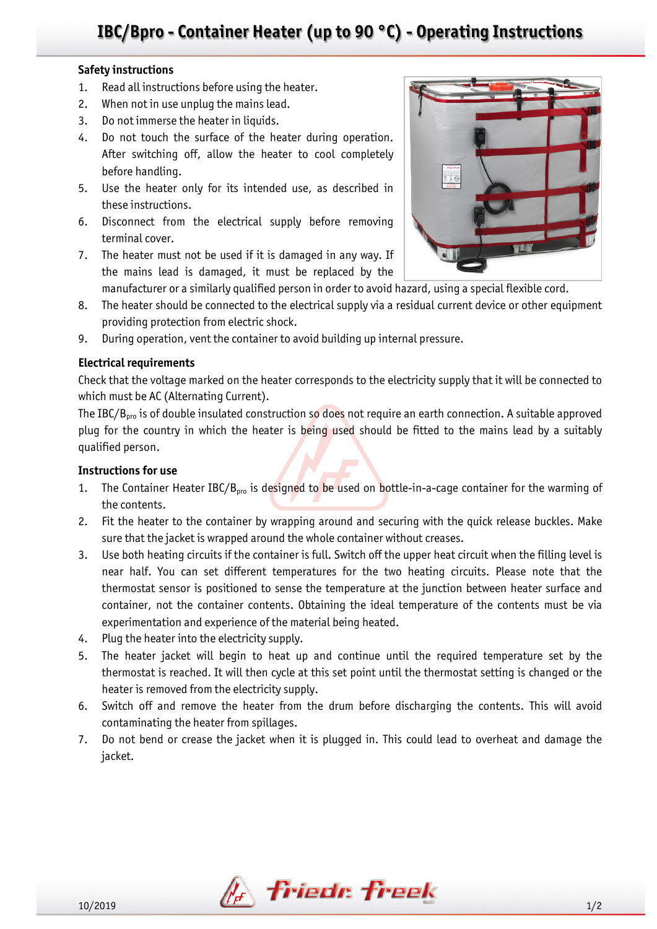# **IBC/Bpro - Container Heater (up to 90 °C) - Operating Instructions**

### **Safety instructions**

- 1. Read all instructions before using the heater.
- 2. When not in use unplug the mains lead.
- 3. Do not immerse the heater in liquids.
- 4. Do not touch the surface of the heater during operation. After switching off, allow the heater to cool completely before handling.
- 5. Use the heater only for its intended use, as described in these instructions.
- 6. Disconnect from the electrical supply before removing terminal cover.
- 7. The heater must not be used if it is damaged in any way. If the mains lead is damaged, it must be replaced by the



- manufacturer or a similarly qualified person in order to avoid hazard, using a special flexible cord.
- 8. The heater should be connected to the electrical supply via a residual current device or other equipment providing protection from electric shock.
- 9. During operation, vent the container to avoid building up internal pressure.

### **Electrical requirements**

Check that the voltage marked on the heater corresponds to the electricity supply that it will be connected to which must be AC (Alternating Current).

The IBC/B<sub>pro</sub> is of double insulated construction so does not require an earth connection. A suitable approved plug for the country in which the heater is being used should be fitted to the mains lead by a suitably qualified person.

## **Instructions for use**

- 1. The Container Heater IBC/ $B_{\text{pro}}$  is designed to be used on bottle-in-a-cage container for the warming of the contents.
- 2. Fit the heater to the container by wrapping around and securing with the quick release buckles. Make sure that the jacket is wrapped around the whole container without creases.
- 3. Use both heating circuits if the container is full. Switch off the upper heat circuit when the filling level is near half. You can set different temperatures for the two heating circuits. Please note that the thermostat sensor is positioned to sense the temperature at the junction between heater surface and container, not the container contents. Obtaining the ideal temperature of the contents must be via experimentation and experience of the material being heated.
- 4. Plug the heater into the electricity supply.
- 5. The heater jacket will begin to heat up and continue until the required temperature set by the thermostat is reached. It will then cycle at this set point until the thermostat setting is changed or the heater is removed from the electricity supply.
- 6. Switch off and remove the heater from the drum before discharging the contents. This will avoid contaminating the heater from spillages.
- 7. Do not bend or crease the jacket when it is plugged in. This could lead to overheat and damage the jacket.